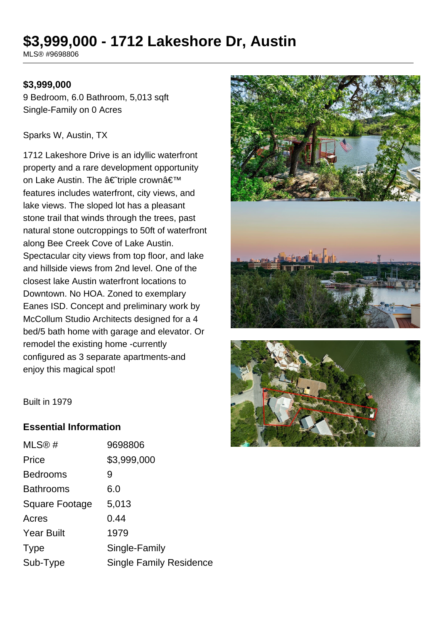# **\$3,999,000 - 1712 Lakeshore Dr, Austin**

MLS® #9698806

#### **\$3,999,000**

9 Bedroom, 6.0 Bathroom, 5,013 sqft Single-Family on 0 Acres

#### Sparks W, Austin, TX

1712 Lakeshore Drive is an idyllic waterfront property and a rare development opportunity on Lake Austin. The †triple crown' features includes waterfront, city views, and lake views. The sloped lot has a pleasant stone trail that winds through the trees, past natural stone outcroppings to 50ft of waterfront along Bee Creek Cove of Lake Austin. Spectacular city views from top floor, and lake and hillside views from 2nd level. One of the closest lake Austin waterfront locations to Downtown. No HOA. Zoned to exemplary Eanes ISD. Concept and preliminary work by McCollum Studio Architects designed for a 4 bed/5 bath home with garage and elevator. Or remodel the existing home -currently configured as 3 separate apartments-and enjoy this magical spot!





Built in 1979

#### **Essential Information**

| MLS <sup>®</sup> #    | 9698806                        |
|-----------------------|--------------------------------|
| Price                 | \$3,999,000                    |
| <b>Bedrooms</b>       | 9                              |
| <b>Bathrooms</b>      | 6.0                            |
| <b>Square Footage</b> | 5,013                          |
| Acres                 | 0.44                           |
| <b>Year Built</b>     | 1979                           |
| <b>Type</b>           | Single-Family                  |
| Sub-Type              | <b>Single Family Residence</b> |
|                       |                                |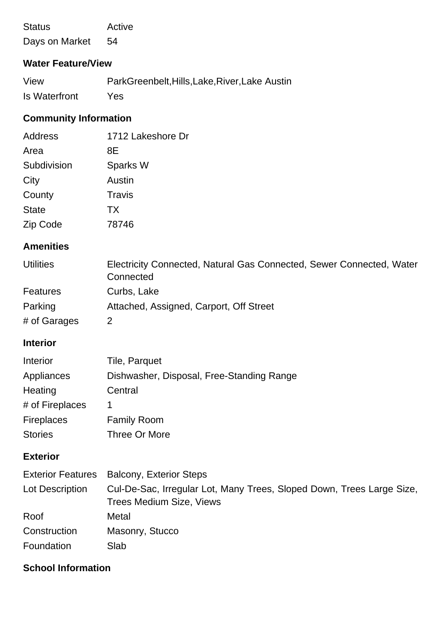Status Active Days on Market 54

### **Water Feature/View**

| View          | ParkGreenbelt, Hills, Lake, River, Lake Austin |
|---------------|------------------------------------------------|
| Is Waterfront | Yes                                            |

## **Community Information**

| Address      | 1712 Lakeshore Dr |
|--------------|-------------------|
| Area         | 8Ε                |
| Subdivision  | Sparks W          |
| City         | Austin            |
| County       | Travis            |
| <b>State</b> | <b>TX</b>         |
| Zip Code     | 78746             |

### **Amenities**

| <b>Utilities</b> | Electricity Connected, Natural Gas Connected, Sewer Connected, Water<br>Connected |
|------------------|-----------------------------------------------------------------------------------|
| Features         | Curbs, Lake                                                                       |
| Parking          | Attached, Assigned, Carport, Off Street                                           |
| # of Garages     |                                                                                   |

### **Interior**

| Interior          | Tile, Parquet                             |
|-------------------|-------------------------------------------|
| Appliances        | Dishwasher, Disposal, Free-Standing Range |
| Heating           | Central                                   |
| # of Fireplaces   | 1                                         |
| <b>Fireplaces</b> | <b>Family Room</b>                        |
| <b>Stories</b>    | Three Or More                             |

### **Exterior**

|                 | Exterior Features Balcony, Exterior Steps                                                                |
|-----------------|----------------------------------------------------------------------------------------------------------|
| Lot Description | Cul-De-Sac, Irregular Lot, Many Trees, Sloped Down, Trees Large Size,<br><b>Trees Medium Size, Views</b> |
| Roof            | Metal                                                                                                    |
| Construction    | Masonry, Stucco                                                                                          |
| Foundation      | Slab                                                                                                     |

### **School Information**